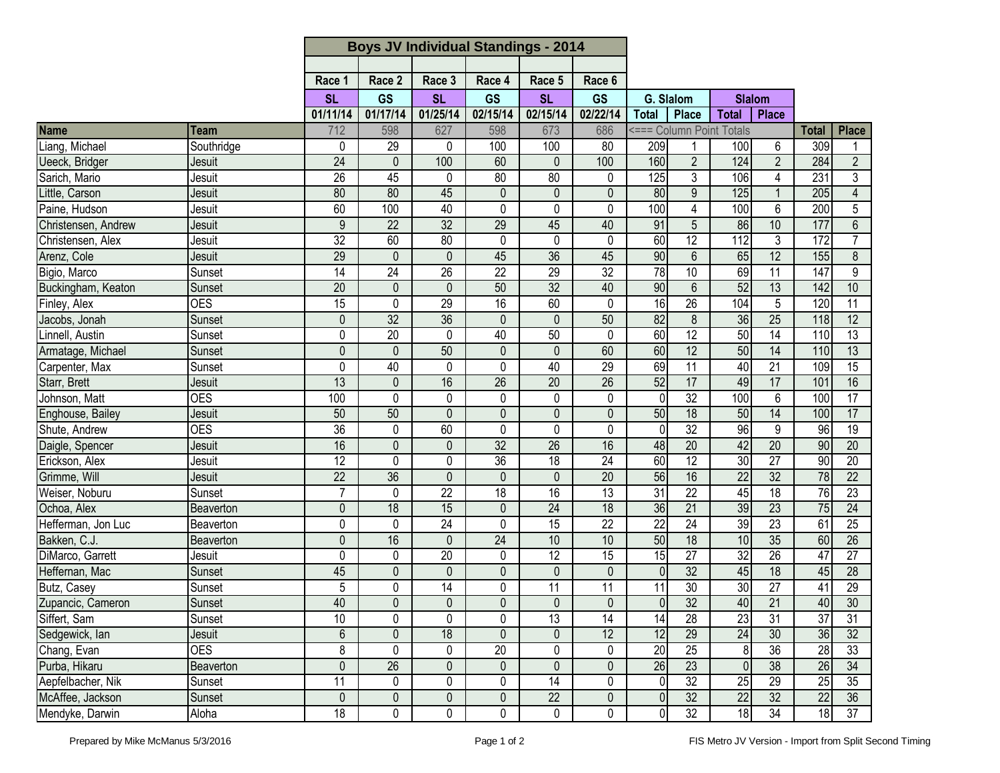|                     |                  |                 | <b>Boys JV Individual Standings - 2014</b> |                 |                 |                 |                 |                 |                  |                          |                 |                 |                 |
|---------------------|------------------|-----------------|--------------------------------------------|-----------------|-----------------|-----------------|-----------------|-----------------|------------------|--------------------------|-----------------|-----------------|-----------------|
|                     |                  |                 |                                            |                 |                 |                 |                 |                 |                  |                          |                 |                 |                 |
|                     |                  | Race 1          | Race 2                                     | Race 3          | Race 4          | Race 5          | Race 6          |                 |                  |                          |                 |                 |                 |
|                     |                  | <b>SL</b>       | <b>GS</b>                                  |                 | <b>SL</b><br>GS |                 | <b>GS</b>       |                 | G. Slalom        |                          | <b>Slalom</b>   |                 |                 |
|                     |                  | 01/11/14        | 01/17/14                                   | 01/25/14        | 02/15/14        | 02/15/14        | 02/22/14        | <b>Total</b>    | <b>Place</b>     | <b>Total</b>             | <b>Place</b>    |                 |                 |
| Name                | Team             | 712             | 598                                        | 627             | 598             | 673             | 686             |                 |                  | <=== Column Point Totals |                 | <b>Total</b>    | <b>Place</b>    |
| Liang, Michael      | Southridge       | 0               | 29                                         | 0               | 100             | 100             | 80              | 209             |                  | 100                      | 6               | 309             |                 |
| Ueeck, Bridger      | <b>Jesuit</b>    | $\overline{24}$ | $\Omega$                                   | 100             | 60              | 0               | 100             | 160             | $\overline{2}$   | 124                      | $\overline{2}$  | 284             | $\overline{2}$  |
| Sarich, Mario       | Jesuit           | $\overline{26}$ | 45                                         | 0               | 80              | 80              | $\mathbf 0$     | 125             | 3                | 106                      | 4               | 231             | 3               |
| Little, Carson      | Jesuit           | 80              | 80                                         | 45              | $\mathbf 0$     | $\mathbf 0$     | $\mathbf 0$     | 80              | 9                | 125                      | $\overline{1}$  | 205             | $\overline{4}$  |
| Paine, Hudson       | Jesuit           | 60              | 100                                        | 40              | 0               | 0               | 0               | 100             | 4                | 100                      | 6               | 200             | 5               |
| Christensen, Andrew | Jesuit           | 9               | $\overline{22}$                            | $\overline{32}$ | 29              | 45              | 40              | 91              | $\overline{5}$   | 86                       | 10              | 177             | $\overline{6}$  |
| Christensen, Alex   | Jesuit           | $\overline{32}$ | 60                                         | 80              | 0               | 0               | 0               | 60              | 12               | 112                      | 3               | 172             | $\overline{7}$  |
| Arenz, Cole         | <b>Jesuit</b>    | 29              | 0                                          | $\mathbf 0$     | 45              | 36              | 45              | 90              | $6\phantom{1}$   | 65                       | 12              | 155             | 8               |
| Bigio, Marco        | Sunset           | 14              | 24                                         | 26              | 22              | 29              | 32              | $\overline{78}$ | 10               | 69                       | 11              | 147             | 9               |
| Buckingham, Keaton  | Sunset           | $\overline{20}$ | $\mathbf{0}$                               | $\theta$        | 50              | 32              | 40              | 90              | $6\phantom{1}$   | 52                       | 13              | 142             | 10              |
| Finley, Alex        | <b>OES</b>       | $\overline{15}$ | 0                                          | 29              | 16              | 60              | $\mathbf 0$     | $\overline{6}$  | 26               | 104                      | 5               | 120             | $\overline{11}$ |
| Jacobs, Jonah       | Sunset           | $\mathbf 0$     | 32                                         | $\overline{36}$ | $\mathbf{0}$    | $\mathbf 0$     | 50              | 82              | $\boldsymbol{8}$ | 36                       | 25              | 118             | $\overline{12}$ |
| Linnell, Austin     | Sunset           | 0               | $\overline{20}$                            | $\mathbf 0$     | 40              | 50              | $\mathbf 0$     | 60              | 12               | 50                       | $\overline{14}$ | 110             | $\overline{13}$ |
| Armatage, Michael   | Sunset           | 0               | $\Omega$                                   | 50              | $\mathbf 0$     | $\mathbf{0}$    | 60              | 60              | $\overline{12}$  | 50                       | $\overline{14}$ | 110             | $\overline{13}$ |
| Carpenter, Max      | Sunset           | 0               | 40                                         | 0               | 0               | 40              | 29              | 69              | 11               | 40                       | 21              | 109             | $\overline{15}$ |
| Starr, Brett        | Jesuit           | 13              | $\mathbf{0}$                               | 16              | $\overline{26}$ | 20              | 26              | 52              | 17               | 49                       | 17              | 101             | 16              |
| Johnson, Matt       | <b>OES</b>       | 100             | 0                                          | 0               | 0               | 0               | 0               | 0               | 32               | 100                      | 6               | 100             | $\overline{17}$ |
| Enghouse, Bailey    | Jesuit           | 50              | 50                                         | $\mathbf{0}$    | 0               | $\mathbf 0$     | 0               | 50              | 18               | 50                       | $\overline{14}$ | 100             | 17              |
| Shute, Andrew       | <b>OES</b>       | $\overline{36}$ | 0                                          | 60              | 0               | 0               | 0               | 0               | 32               | 96                       | 9               | 96              | 19              |
| Daigle, Spencer     | Jesuit           | 16              | 0                                          | 0               | $\overline{32}$ | $\overline{26}$ | 16              | 48              | 20               | 42                       | $\overline{20}$ | 90              | $\overline{20}$ |
| Erickson, Alex      | Jesuit           | $\overline{12}$ | $\Omega$                                   | 0               | 36              | 18              | 24              | 60              | $\overline{12}$  | 30                       | $\overline{27}$ | 90              | 20              |
| Grimme, Will        | Jesuit           | $\overline{22}$ | 36                                         | $\overline{0}$  | $\mathbf{0}$    | $\mathbf 0$     | $\overline{20}$ | 56              | 16               | $\overline{22}$          | 32              | 78              | $\overline{22}$ |
| Weiser, Noburu      | Sunset           | $\overline{7}$  | 0                                          | $\overline{22}$ | $\overline{18}$ | 16              | $\overline{13}$ | 31              | $\overline{22}$  | 45                       | $\overline{18}$ | 76              | $\overline{23}$ |
| Ochoa, Alex         | <b>Beaverton</b> | $\mathbf 0$     | 18                                         | 15              | $\mathbf 0$     | 24              | 18              | 36              | 21               | 39                       | $\overline{23}$ | 75              | 24              |
| Hefferman, Jon Luc  | Beaverton        | 0               | $\Omega$                                   | $\overline{24}$ | $\mathbf 0$     | 15              | $\overline{22}$ | $\overline{22}$ | $\overline{24}$  | 39                       | 23              | 61              | $\overline{25}$ |
| Bakken, C.J.        | Beaverton        | 0               | 16                                         | $\mathbf 0$     | 24              | 10              | 10              | 50              | 18               | 10                       | 35              | 60              | 26              |
| DiMarco, Garrett    | Jesuit           | 0               | $\Omega$                                   | 20              | 0               | $\overline{12}$ | 15              | $\overline{15}$ | 27               | 32                       | $\overline{26}$ | 47              | 27              |
| Heffernan, Mac      | Sunset           | 45              | $\mathbf 0$                                | $\mathbf{0}$    | $\mathbf 0$     | $\mathbf 0$     | $\mathbf 0$     | $\overline{0}$  | $\overline{32}$  | 45                       | $\overline{18}$ | 45              | $\overline{28}$ |
| Butz, Casey         | Sunset           | 5               | 0                                          | 14              | 0               | $\overline{11}$ | 11              | 11              | $\overline{30}$  | 30                       | $\overline{27}$ | 41              | $\overline{29}$ |
| Zupancic, Cameron   | Sunset           | 40              | $\mathbf 0$                                | $\mathbf 0$     | $\pmb{0}$       | $\pmb{0}$       | $\mathbf 0$     | 0               | 32               | 40                       | $\overline{21}$ | 40              | 30              |
| Siffert, Sam        | Sunset           | 10              | $\mathbf{0}$                               | $\Omega$        | 0               | $\overline{13}$ | $\overline{14}$ | $\overline{14}$ | $\overline{28}$  | 23                       | 31              | $\overline{37}$ | $\overline{31}$ |
| Sedgewick, lan      | Jesuit           | 6               | $\mathbf 0$                                | 18              | 0               | $\mathbf 0$     | 12              | 12              | 29               | 24                       | 30 <sup>°</sup> | 36              | 32              |
| Chang, Evan         | <b>OES</b>       | 8               | 0                                          | 0               | 20              | 0               | $\mathbf 0$     | 20              | 25               | 8 <sup>1</sup>           | 36              | 28              | 33              |
| Purba, Hikaru       | Beaverton        | $\overline{0}$  | $\overline{26}$                            | $\mathbf 0$     | $\mathbf 0$     | $\mathbf 0$     | $\mathbf 0$     | 26              | 23               | 0                        | 38              | $\overline{26}$ | 34              |
| Aepfelbacher, Nik   | Sunset           | $\overline{11}$ | 0                                          | 0               | 0               | 14              | 0               | $\overline{0}$  | $\overline{32}$  | 25                       | 29              | 25              | $\overline{35}$ |
| McAffee, Jackson    | Sunset           | $\mathbf 0$     | $\mathbf 0$                                | $\mathbf 0$     | $\mathbf 0$     | $\overline{22}$ | $\mathbf 0$     | $\overline{0}$  | 32               | $\overline{22}$          | 32              | $\overline{22}$ | 36              |
| Mendyke, Darwin     | Aloha            | 18              | 0                                          | 0               | 0               | 0               | 0               | $\overline{0}$  | $\overline{32}$  | 18                       | 34              | 18              | 37              |